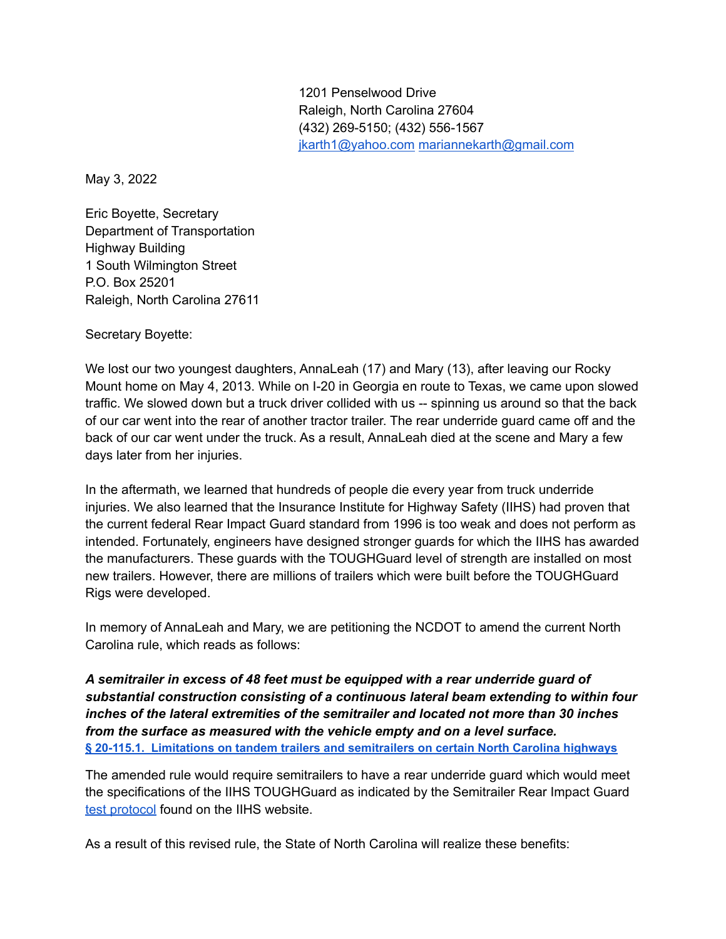1201 Penselwood Drive Raleigh, North Carolina 27604 (432) 269-5150; (432) 556-1567 [jkarth1@yahoo.com](mailto:jkarth1@yahoo.com) [mariannekarth@gmail.com](mailto:mariannekarth@gmail.com)

May 3, 2022

Eric Boyette, Secretary Department of Transportation Highway Building 1 South Wilmington Street P.O. Box 25201 Raleigh, North Carolina 27611

Secretary Boyette:

We lost our two youngest daughters, AnnaLeah (17) and Mary (13), after leaving our Rocky Mount home on May 4, 2013. While on I-20 in Georgia en route to Texas, we came upon slowed traffic. We slowed down but a truck driver collided with us -- spinning us around so that the back of our car went into the rear of another tractor trailer. The rear underride guard came off and the back of our car went under the truck. As a result, AnnaLeah died at the scene and Mary a few days later from her injuries.

In the aftermath, we learned that hundreds of people die every year from truck underride injuries. We also learned that the Insurance Institute for Highway Safety (IIHS) had proven that the current federal Rear Impact Guard standard from 1996 is too weak and does not perform as intended. Fortunately, engineers have designed stronger guards for which the IIHS has awarded the manufacturers. These guards with the TOUGHGuard level of strength are installed on most new trailers. However, there are millions of trailers which were built before the TOUGHGuard Rigs were developed.

In memory of AnnaLeah and Mary, we are petitioning the NCDOT to amend the current North Carolina rule, which reads as follows:

*A semitrailer in excess of 48 feet must be equipped with a rear underride guard of substantial construction consisting of a continuous lateral beam extending to within four inches of the lateral extremities of the semitrailer and located not more than 30 inches from the surface as measured with the vehicle empty and on a level surface.* **§ 20-115.1. Limitations on tandem trailers and [semitrailers](https://www.ncleg.net/enactedlegislation/statutes/html/bysection/chapter_20/gs_20-115.1.html#:~:text=(3)%20A%20semitrailer%20in%20excess,measured%20with%20the%20vehicle%20empty%20Vehicles.pdfal%20Vehicles.pdf) on certain North Carolina highways**

The amended rule would require semitrailers to have a rear underride guard which would meet the specifications of the IIHS TOUGHGuard as indicated by the Semitrailer Rear Impact Guar[d](https://www.iihs.org/topics/large-trucks/truck-underride#explanation) test [protocol](https://www.iihs.org/topics/large-trucks/truck-underride#explanation) found on the IIHS website.

As a result of this revised rule, the State of North Carolina will realize these benefits: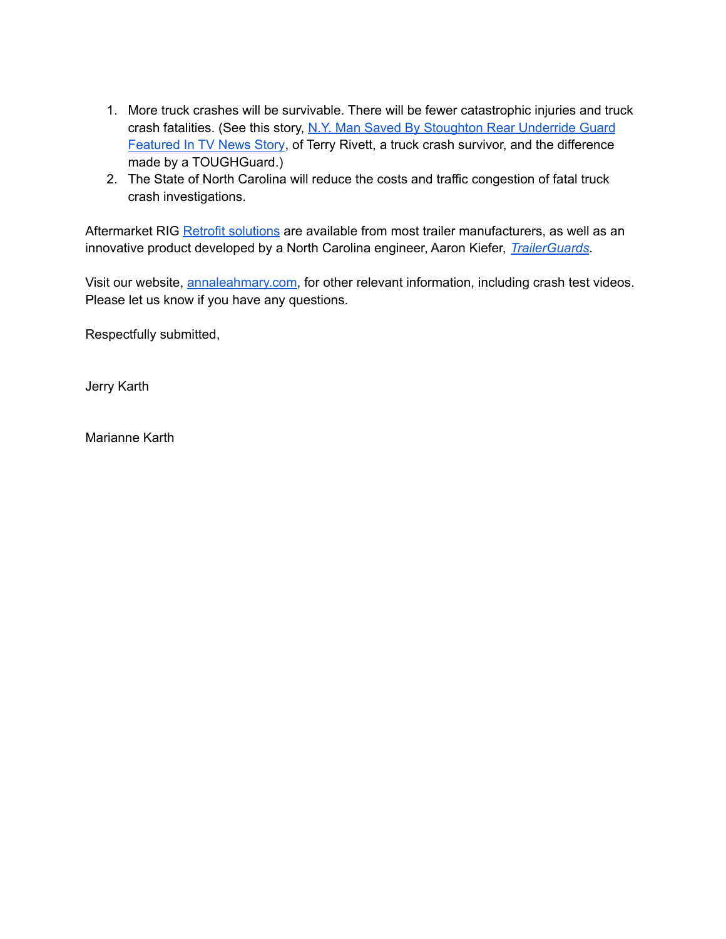- 1. More truck crashes will be survivable. There will be fewer catastrophic injuries and truck crash fatalities. (See this story, N.Y. Man Saved By [Stoughton](https://www.stoughtontrailers.com/news/id/112/ny-man-saved-by-stoughton-rear-underride-guard-featured-in-tv-news-story) Rear Underride Guard [Featured](https://www.stoughtontrailers.com/news/id/112/ny-man-saved-by-stoughton-rear-underride-guard-featured-in-tv-news-story) In TV News Story, of Terry Rivett, a truck crash survivor, and the difference made by a TOUGHGuard.)
- 2. The State of North Carolina will reduce the costs and traffic congestion of fatal truck crash investigations.

Aftermarket RIG Retrofit [solutions](https://annaleahmary.com/2020/12/retrofit-solutions-for-rear-impact-guards-to-prevent-deadly-underride/) are available from most trailer manufacturers, as well as an innovative product developed by a North Carolina engineer, Aaron Kiefer, *[TrailerGuards](https://www.trailerguards.com/)*.

Visit our website, [annaleahmary.com,](https://annaleahmary.com/) for other relevant information, including crash test videos. Please let us know if you have any questions.

Respectfully submitted,

Jerry Karth

Marianne Karth